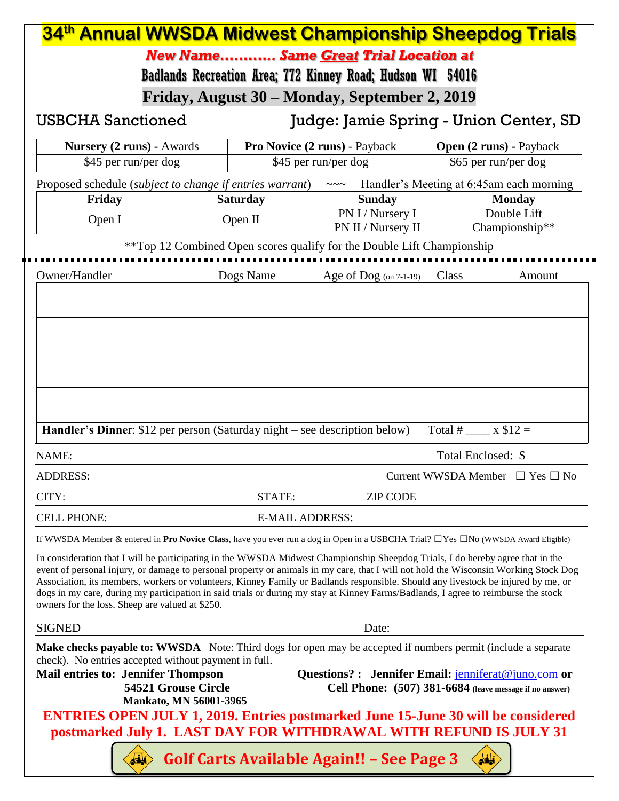| 34th Annual WWSDA Midwest Championship Sheepdog Trials                                                                                                                                                                                                                                                                                                                                                                                                                                                                                                                                               |                           |                                        |                                                                        |                                |                                           |  |  |  |
|------------------------------------------------------------------------------------------------------------------------------------------------------------------------------------------------------------------------------------------------------------------------------------------------------------------------------------------------------------------------------------------------------------------------------------------------------------------------------------------------------------------------------------------------------------------------------------------------------|---------------------------|----------------------------------------|------------------------------------------------------------------------|--------------------------------|-------------------------------------------|--|--|--|
| New Name Same Great Trial Location at                                                                                                                                                                                                                                                                                                                                                                                                                                                                                                                                                                |                           |                                        |                                                                        |                                |                                           |  |  |  |
| Badlands Recreation Area; 772 Kinney Road; Hudson WI 54016                                                                                                                                                                                                                                                                                                                                                                                                                                                                                                                                           |                           |                                        |                                                                        |                                |                                           |  |  |  |
| Friday, August 30 – Monday, September 2, 2019                                                                                                                                                                                                                                                                                                                                                                                                                                                                                                                                                        |                           |                                        |                                                                        |                                |                                           |  |  |  |
| <b>USBCHA Sanctioned</b>                                                                                                                                                                                                                                                                                                                                                                                                                                                                                                                                                                             |                           | Judge: Jamie Spring - Union Center, SD |                                                                        |                                |                                           |  |  |  |
| <b>Nursery (2 runs) - Awards</b>                                                                                                                                                                                                                                                                                                                                                                                                                                                                                                                                                                     |                           | Pro Novice (2 runs) - Payback          |                                                                        | <b>Open (2 runs) - Payback</b> |                                           |  |  |  |
|                                                                                                                                                                                                                                                                                                                                                                                                                                                                                                                                                                                                      | \$45 per run/per dog      |                                        | \$45 per run/per dog                                                   | \$65 per run/per dog           |                                           |  |  |  |
| Proposed schedule (subject to change if entries warrant)<br>Friday                                                                                                                                                                                                                                                                                                                                                                                                                                                                                                                                   |                           | <b>Saturday</b>                        | ~~~ Handler's Meeting at 6:45am each morning<br><b>Sunday</b>          |                                | <b>Monday</b>                             |  |  |  |
| Open I                                                                                                                                                                                                                                                                                                                                                                                                                                                                                                                                                                                               |                           | Open II                                | PN I / Nursery I                                                       |                                | Double Lift                               |  |  |  |
|                                                                                                                                                                                                                                                                                                                                                                                                                                                                                                                                                                                                      |                           |                                        | PN II / Nursery II                                                     | Championship**                 |                                           |  |  |  |
|                                                                                                                                                                                                                                                                                                                                                                                                                                                                                                                                                                                                      |                           |                                        | **Top 12 Combined Open scores qualify for the Double Lift Championship |                                |                                           |  |  |  |
| Owner/Handler                                                                                                                                                                                                                                                                                                                                                                                                                                                                                                                                                                                        |                           | Dogs Name                              | Age of $\text{Dog (on 7-1-19)}$                                        | Class                          | Amount                                    |  |  |  |
|                                                                                                                                                                                                                                                                                                                                                                                                                                                                                                                                                                                                      |                           |                                        |                                                                        |                                |                                           |  |  |  |
|                                                                                                                                                                                                                                                                                                                                                                                                                                                                                                                                                                                                      |                           |                                        |                                                                        |                                |                                           |  |  |  |
|                                                                                                                                                                                                                                                                                                                                                                                                                                                                                                                                                                                                      |                           |                                        |                                                                        |                                |                                           |  |  |  |
|                                                                                                                                                                                                                                                                                                                                                                                                                                                                                                                                                                                                      |                           |                                        |                                                                        |                                |                                           |  |  |  |
|                                                                                                                                                                                                                                                                                                                                                                                                                                                                                                                                                                                                      |                           |                                        |                                                                        |                                |                                           |  |  |  |
|                                                                                                                                                                                                                                                                                                                                                                                                                                                                                                                                                                                                      |                           |                                        |                                                                        |                                |                                           |  |  |  |
|                                                                                                                                                                                                                                                                                                                                                                                                                                                                                                                                                                                                      |                           |                                        |                                                                        |                                |                                           |  |  |  |
| Handler's Dinner: \$12 per person (Saturday night – see description below)                                                                                                                                                                                                                                                                                                                                                                                                                                                                                                                           |                           |                                        |                                                                        | Total # $\_\_\ x$ \$12 =       |                                           |  |  |  |
| <b>NAME:</b>                                                                                                                                                                                                                                                                                                                                                                                                                                                                                                                                                                                         |                           |                                        |                                                                        | Total Enclosed: \$             |                                           |  |  |  |
| <b>ADDRESS:</b>                                                                                                                                                                                                                                                                                                                                                                                                                                                                                                                                                                                      |                           |                                        |                                                                        |                                | Current WWSDA Member $\Box$ Yes $\Box$ No |  |  |  |
| CITY:                                                                                                                                                                                                                                                                                                                                                                                                                                                                                                                                                                                                | STATE:<br><b>ZIP CODE</b> |                                        |                                                                        |                                |                                           |  |  |  |
| <b>CELL PHONE:</b>                                                                                                                                                                                                                                                                                                                                                                                                                                                                                                                                                                                   | <b>E-MAIL ADDRESS:</b>    |                                        |                                                                        |                                |                                           |  |  |  |
| If WWSDA Member & entered in Pro Novice Class, have you ever run a dog in Open in a USBCHA Trial? $\Box$ Yes $\Box$ No (WWSDA Award Eligible)                                                                                                                                                                                                                                                                                                                                                                                                                                                        |                           |                                        |                                                                        |                                |                                           |  |  |  |
| In consideration that I will be participating in the WWSDA Midwest Championship Sheepdog Trials, I do hereby agree that in the<br>event of personal injury, or damage to personal property or animals in my care, that I will not hold the Wisconsin Working Stock Dog<br>Association, its members, workers or volunteers, Kinney Family or Badlands responsible. Should any livestock be injured by me, or<br>dogs in my care, during my participation in said trials or during my stay at Kinney Farms/Badlands, I agree to reimburse the stock<br>owners for the loss. Sheep are valued at \$250. |                           |                                        |                                                                        |                                |                                           |  |  |  |
| <b>SIGNED</b>                                                                                                                                                                                                                                                                                                                                                                                                                                                                                                                                                                                        | Date:                     |                                        |                                                                        |                                |                                           |  |  |  |
| Make checks payable to: WWSDA Note: Third dogs for open may be accepted if numbers permit (include a separate<br>check). No entries accepted without payment in full.<br><b>Mail entries to: Jennifer Thompson</b><br>Questions? : Jennifer Email: jenniferat@juno.com or<br>54521 Grouse Circle<br>Cell Phone: (507) 381-6684 (leave message if no answer)<br><b>Mankato, MN 56001-3965</b><br><b>ENTRIES OPEN JULY 1, 2019. Entries postmarked June 15-June 30 will be considered</b><br>postmarked July 1. LAST DAY FOR WITHDRAWAL WITH REFUND IS JULY 31                                         |                           |                                        |                                                                        |                                |                                           |  |  |  |
| <b>Golf Carts Available Again!! - See Page 3</b><br>نلغه<br>فافعه                                                                                                                                                                                                                                                                                                                                                                                                                                                                                                                                    |                           |                                        |                                                                        |                                |                                           |  |  |  |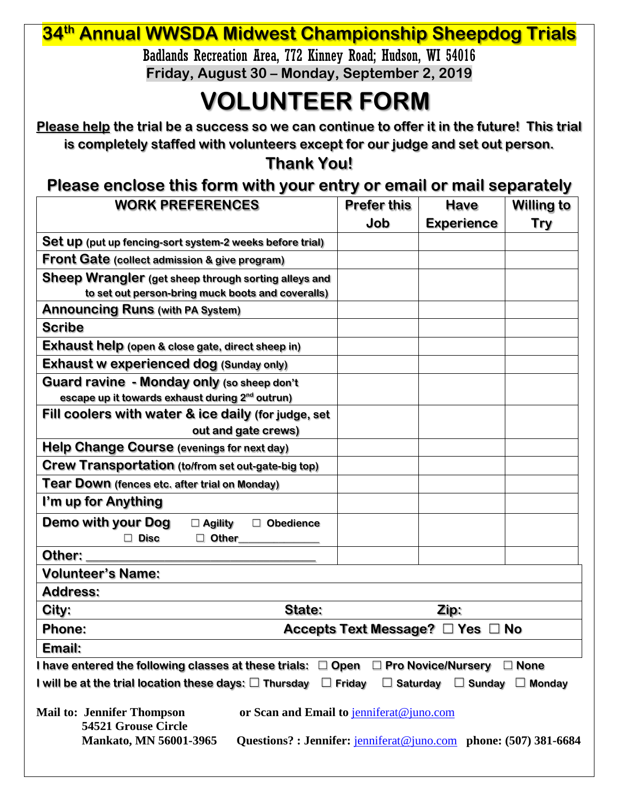## **34th Annual WWSDA Midwest Championship Sheepdog Trials**

Badlands Recreation Area, 772 Kinney Road; Hudson, WI 54016 **Friday, August 30 – Monday, September 2, 2019**

# **VOLUNTEER FORM**

**Please help the trial be a success so we can continue to offer it in the future! This trial is completely staffed with volunteers except for our judge and set out person.**

### **Thank You!**

#### **Please enclose this form with your entry or email or mail separately**

| <b>WORK PREFERENCES</b>                                                                                                                                                                                  | <b>Prefer this</b><br>Job                  | <b>Have</b>       | <b>Willing to</b> |  |  |
|----------------------------------------------------------------------------------------------------------------------------------------------------------------------------------------------------------|--------------------------------------------|-------------------|-------------------|--|--|
| Set up (put up fencing-sort system-2 weeks before trial)                                                                                                                                                 |                                            | <b>Experience</b> | Try               |  |  |
|                                                                                                                                                                                                          |                                            |                   |                   |  |  |
| <b>Front Gate (collect admission &amp; give program)</b>                                                                                                                                                 |                                            |                   |                   |  |  |
| Sheep Wrangler (get sheep through sorting alleys and                                                                                                                                                     |                                            |                   |                   |  |  |
| to set out person-bring muck boots and coveralls)                                                                                                                                                        |                                            |                   |                   |  |  |
| <b>Announcing Runs (with PA System)</b>                                                                                                                                                                  |                                            |                   |                   |  |  |
| <b>Scribe</b>                                                                                                                                                                                            |                                            |                   |                   |  |  |
| <b>Exhaust help</b> (open & close gate, direct sheep in)                                                                                                                                                 |                                            |                   |                   |  |  |
| <b>Exhaust w experienced dog (Sunday only)</b>                                                                                                                                                           |                                            |                   |                   |  |  |
| Guard ravine - Monday only (so sheep don't                                                                                                                                                               |                                            |                   |                   |  |  |
| escape up it towards exhaust during 2 <sup>nd</sup> outrun)                                                                                                                                              |                                            |                   |                   |  |  |
| Fill coolers with water & ice daily (for judge, set                                                                                                                                                      |                                            |                   |                   |  |  |
| out and gate crews)                                                                                                                                                                                      |                                            |                   |                   |  |  |
| Help Change Course (evenings for next day)                                                                                                                                                               |                                            |                   |                   |  |  |
| <b>Crew Transportation</b> (to/from set out-gate-big top)                                                                                                                                                |                                            |                   |                   |  |  |
| Tear Down (fences etc. after trial on Monday)                                                                                                                                                            |                                            |                   |                   |  |  |
| I'm up for Anything                                                                                                                                                                                      |                                            |                   |                   |  |  |
| Demo with your Dog<br>□ Obedience<br>$\square$ Agility                                                                                                                                                   |                                            |                   |                   |  |  |
| $\Box$ Disc<br>$\Box$ Other                                                                                                                                                                              |                                            |                   |                   |  |  |
| Other:                                                                                                                                                                                                   |                                            |                   |                   |  |  |
| <b>Volunteer's Name:</b>                                                                                                                                                                                 |                                            |                   |                   |  |  |
| <b>Address:</b>                                                                                                                                                                                          |                                            |                   |                   |  |  |
| City:<br>State:                                                                                                                                                                                          |                                            | Zip:              |                   |  |  |
| <b>Phone:</b>                                                                                                                                                                                            | Accepts Text Message? $\Box$ Yes $\Box$ No |                   |                   |  |  |
| Email:                                                                                                                                                                                                   |                                            |                   |                   |  |  |
| I have entered the following classes at these trials: $\Box$ Open $\Box$ Pro Novice/Nursery                                                                                                              |                                            |                   | $\Box$ None       |  |  |
| I will be at the trial location these days: $\Box$ Thursday                                                                                                                                              | $\Box$ Friday<br>$\Box$ Saturday           | $\Box$ Sunday     | $\Box$ Monday     |  |  |
| or Scan and Email to jenniferat@juno.com<br><b>Mail to: Jennifer Thompson</b><br>54521 Grouse Circle<br><b>Mankato, MN 56001-3965</b><br>Questions?: Jennifer: jenniferat@juno.com phone: (507) 381-6684 |                                            |                   |                   |  |  |